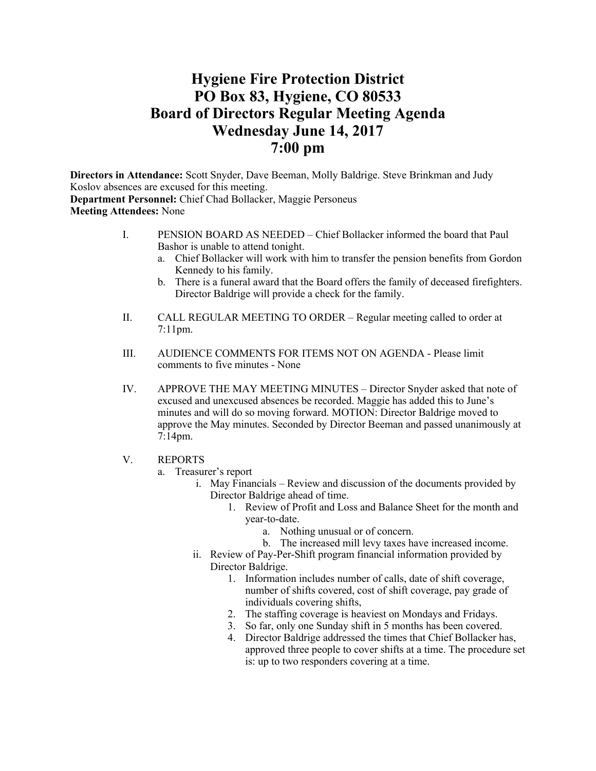# **Hygiene Fire Protection District PO Box 83, Hygiene, CO 80533 Board of Directors Regular Meeting Agenda Wednesday June 14, 2017 7:00 pm**

**Directors in Attendance:** Scott Snyder, Dave Beeman, Molly Baldrige. Steve Brinkman and Judy Koslov absences are excused for this meeting. **Department Personnel:** Chief Chad Bollacker, Maggie Personeus **Meeting Attendees:** None

- I. PENSION BOARD AS NEEDED Chief Bollacker informed the board that Paul Bashor is unable to attend tonight.
	- a. Chief Bollacker will work with him to transfer the pension benefits from Gordon Kennedy to his family.
	- b. There is a funeral award that the Board offers the family of deceased firefighters. Director Baldrige will provide a check for the family.
- II. CALL REGULAR MEETING TO ORDER Regular meeting called to order at 7:11pm.
- III. AUDIENCE COMMENTS FOR ITEMS NOT ON AGENDA Please limit comments to five minutes - None
- IV. APPROVE THE MAY MEETING MINUTES Director Snyder asked that note of excused and unexcused absences be recorded. Maggie has added this to June's minutes and will do so moving forward. MOTION: Director Baldrige moved to approve the May minutes. Seconded by Director Beeman and passed unanimously at 7:14pm.
- V. REPORTS
	- a. Treasurer's report
		- i. May Financials Review and discussion of the documents provided by Director Baldrige ahead of time.
			- 1. Review of Profit and Loss and Balance Sheet for the month and year-to-date.
				- a. Nothing unusual or of concern.
				- b. The increased mill levy taxes have increased income.
		- ii. Review of Pay-Per-Shift program financial information provided by Director Baldrige.
			- 1. Information includes number of calls, date of shift coverage, number of shifts covered, cost of shift coverage, pay grade of individuals covering shifts,
			- 2. The staffing coverage is heaviest on Mondays and Fridays.
			- 3. So far, only one Sunday shift in 5 months has been covered.
			- 4. Director Baldrige addressed the times that Chief Bollacker has, approved three people to cover shifts at a time. The procedure set is: up to two responders covering at a time.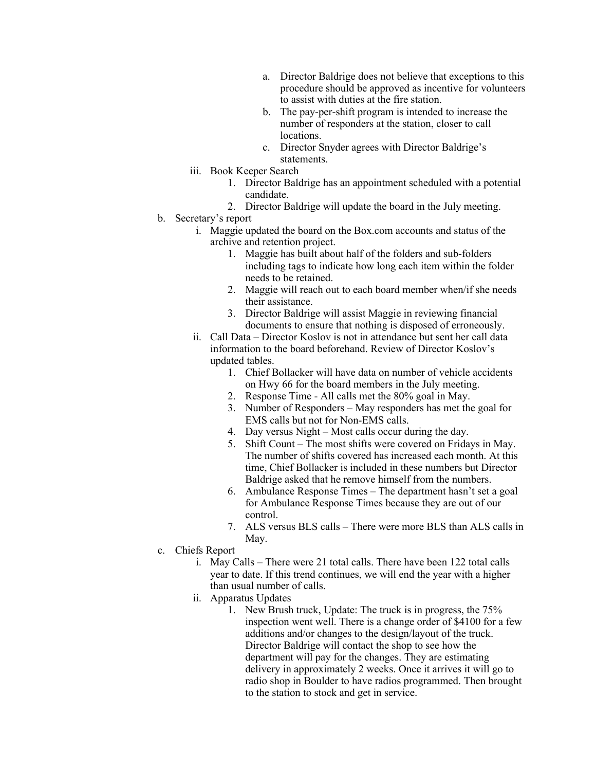- a. Director Baldrige does not believe that exceptions to this procedure should be approved as incentive for volunteers to assist with duties at the fire station.
- b. The pay-per-shift program is intended to increase the number of responders at the station, closer to call locations.
- c. Director Snyder agrees with Director Baldrige's statements.
- iii. Book Keeper Search
	- 1. Director Baldrige has an appointment scheduled with a potential candidate.
- 2. Director Baldrige will update the board in the July meeting.
- b. Secretary's report
	- i. Maggie updated the board on the Box.com accounts and status of the archive and retention project.
		- 1. Maggie has built about half of the folders and sub-folders including tags to indicate how long each item within the folder needs to be retained.
		- 2. Maggie will reach out to each board member when/if she needs their assistance.
		- 3. Director Baldrige will assist Maggie in reviewing financial documents to ensure that nothing is disposed of erroneously.
	- ii. Call Data Director Koslov is not in attendance but sent her call data information to the board beforehand. Review of Director Koslov's updated tables.
		- 1. Chief Bollacker will have data on number of vehicle accidents on Hwy 66 for the board members in the July meeting.
		- 2. Response Time All calls met the 80% goal in May.
		- 3. Number of Responders May responders has met the goal for EMS calls but not for Non-EMS calls.
		- 4. Day versus Night Most calls occur during the day.
		- 5. Shift Count The most shifts were covered on Fridays in May. The number of shifts covered has increased each month. At this time, Chief Bollacker is included in these numbers but Director Baldrige asked that he remove himself from the numbers.
		- 6. Ambulance Response Times The department hasn't set a goal for Ambulance Response Times because they are out of our control.
		- 7. ALS versus BLS calls There were more BLS than ALS calls in May.
- c. Chiefs Report
	- i. May Calls There were 21 total calls. There have been 122 total calls year to date. If this trend continues, we will end the year with a higher than usual number of calls.
	- ii. Apparatus Updates
		- 1. New Brush truck, Update: The truck is in progress, the 75% inspection went well. There is a change order of \$4100 for a few additions and/or changes to the design/layout of the truck. Director Baldrige will contact the shop to see how the department will pay for the changes. They are estimating delivery in approximately 2 weeks. Once it arrives it will go to radio shop in Boulder to have radios programmed. Then brought to the station to stock and get in service.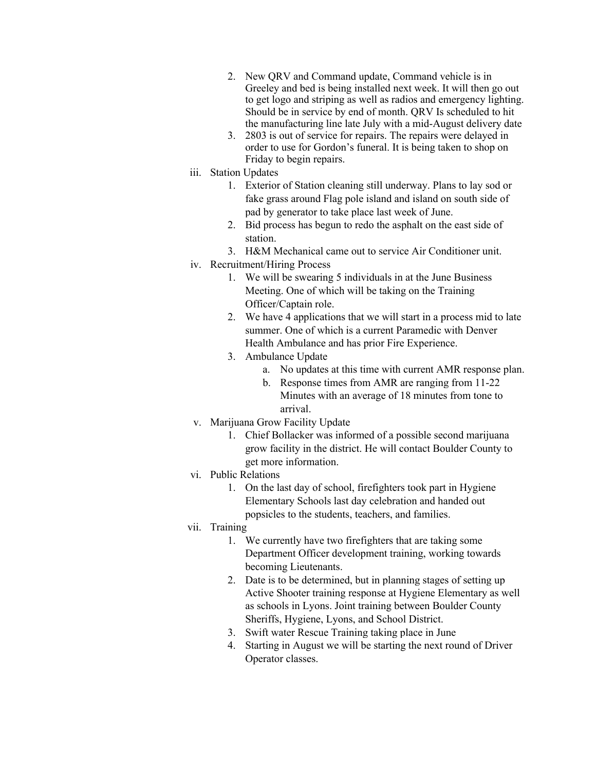- 2. New QRV and Command update, Command vehicle is in Greeley and bed is being installed next week. It will then go out to get logo and striping as well as radios and emergency lighting. Should be in service by end of month. QRV Is scheduled to hit the manufacturing line late July with a mid-August delivery date
- 3. 2803 is out of service for repairs. The repairs were delayed in order to use for Gordon's funeral. It is being taken to shop on Friday to begin repairs.
- iii. Station Updates
	- 1. Exterior of Station cleaning still underway. Plans to lay sod or fake grass around Flag pole island and island on south side of pad by generator to take place last week of June.
	- 2. Bid process has begun to redo the asphalt on the east side of station.
	- 3. H&M Mechanical came out to service Air Conditioner unit.
- iv. Recruitment/Hiring Process
	- 1. We will be swearing 5 individuals in at the June Business Meeting. One of which will be taking on the Training Officer/Captain role.
	- 2. We have 4 applications that we will start in a process mid to late summer. One of which is a current Paramedic with Denver Health Ambulance and has prior Fire Experience.
	- 3. Ambulance Update
		- a. No updates at this time with current AMR response plan.
		- b. Response times from AMR are ranging from 11-22 Minutes with an average of 18 minutes from tone to arrival.
- v. Marijuana Grow Facility Update
	- 1. Chief Bollacker was informed of a possible second marijuana grow facility in the district. He will contact Boulder County to get more information.
- vi. Public Relations
	- 1. On the last day of school, firefighters took part in Hygiene Elementary Schools last day celebration and handed out popsicles to the students, teachers, and families.
- vii. Training
	- 1. We currently have two firefighters that are taking some Department Officer development training, working towards becoming Lieutenants.
	- 2. Date is to be determined, but in planning stages of setting up Active Shooter training response at Hygiene Elementary as well as schools in Lyons. Joint training between Boulder County Sheriffs, Hygiene, Lyons, and School District.
	- 3. Swift water Rescue Training taking place in June
	- 4. Starting in August we will be starting the next round of Driver Operator classes.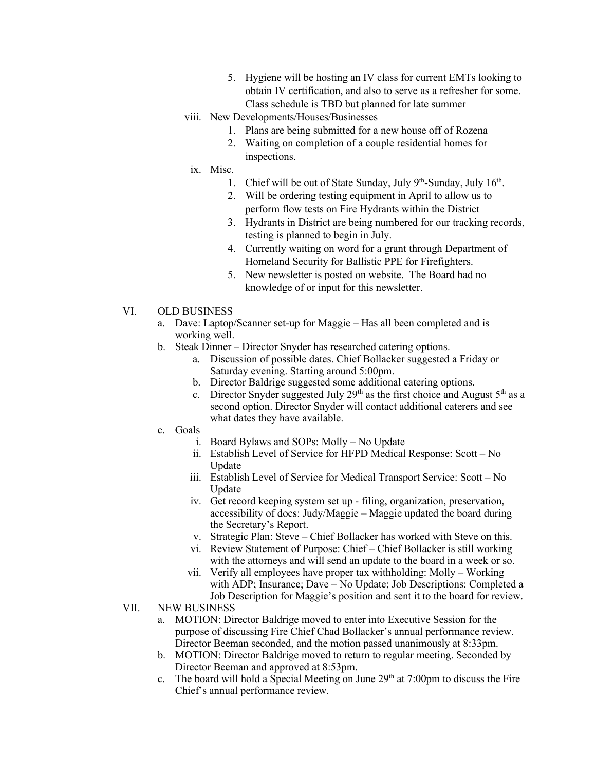- 5. Hygiene will be hosting an IV class for current EMTs looking to obtain IV certification, and also to serve as a refresher for some. Class schedule is TBD but planned for late summer
- viii. New Developments/Houses/Businesses
	- 1. Plans are being submitted for a new house off of Rozena
	- 2. Waiting on completion of a couple residential homes for inspections.
- ix. Misc.
	- 1. Chief will be out of State Sunday, July 9th-Sunday, July  $16<sup>th</sup>$ .
	- 2. Will be ordering testing equipment in April to allow us to perform flow tests on Fire Hydrants within the District
	- 3. Hydrants in District are being numbered for our tracking records, testing is planned to begin in July.
	- 4. Currently waiting on word for a grant through Department of Homeland Security for Ballistic PPE for Firefighters.
	- 5. New newsletter is posted on website. The Board had no knowledge of or input for this newsletter.
- VI. OLD BUSINESS
	- a. Dave: Laptop/Scanner set-up for Maggie Has all been completed and is working well.
	- b. Steak Dinner Director Snyder has researched catering options.
		- a. Discussion of possible dates. Chief Bollacker suggested a Friday or Saturday evening. Starting around 5:00pm.
		- b. Director Baldrige suggested some additional catering options.
		- c. Director Snyder suggested July  $29<sup>th</sup>$  as the first choice and August  $5<sup>th</sup>$  as a second option. Director Snyder will contact additional caterers and see what dates they have available.
	- c. Goals
		- i. Board Bylaws and SOPs: Molly No Update
		- ii. Establish Level of Service for HFPD Medical Response: Scott No Update
		- iii. Establish Level of Service for Medical Transport Service: Scott No Update
		- iv. Get record keeping system set up filing, organization, preservation, accessibility of docs: Judy/Maggie – Maggie updated the board during the Secretary's Report.
		- v. Strategic Plan: Steve Chief Bollacker has worked with Steve on this.
		- vi. Review Statement of Purpose: Chief Chief Bollacker is still working with the attorneys and will send an update to the board in a week or so.
		- vii. Verify all employees have proper tax withholding: Molly Working with ADP; Insurance; Dave – No Update; Job Descriptions: Completed a Job Description for Maggie's position and sent it to the board for review.
- VII. NEW BUSINESS
	- a. MOTION: Director Baldrige moved to enter into Executive Session for the purpose of discussing Fire Chief Chad Bollacker's annual performance review. Director Beeman seconded, and the motion passed unanimously at 8:33pm.
	- b. MOTION: Director Baldrige moved to return to regular meeting. Seconded by Director Beeman and approved at 8:53pm.
	- c. The board will hold a Special Meeting on June  $29<sup>th</sup>$  at 7:00pm to discuss the Fire Chief's annual performance review.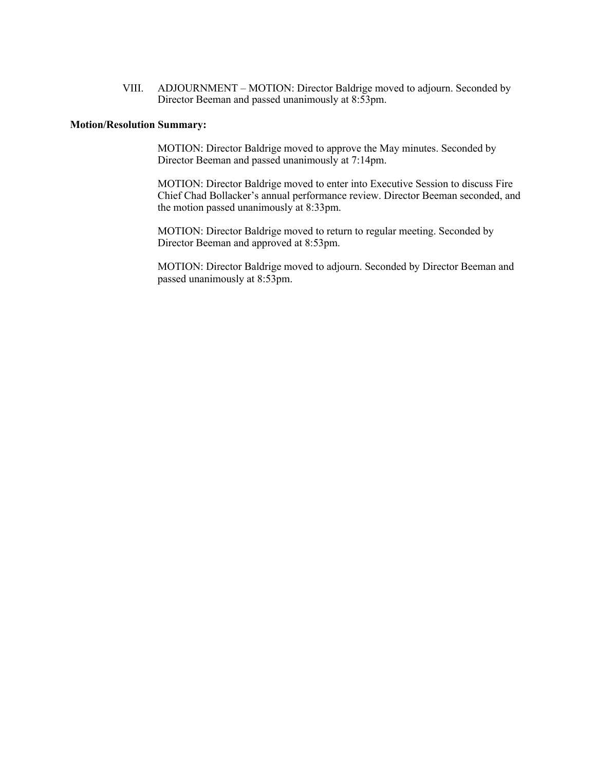VIII. ADJOURNMENT – MOTION: Director Baldrige moved to adjourn. Seconded by Director Beeman and passed unanimously at 8:53pm.

## **Motion/Resolution Summary:**

MOTION: Director Baldrige moved to approve the May minutes. Seconded by Director Beeman and passed unanimously at 7:14pm.

MOTION: Director Baldrige moved to enter into Executive Session to discuss Fire Chief Chad Bollacker's annual performance review. Director Beeman seconded, and the motion passed unanimously at 8:33pm.

MOTION: Director Baldrige moved to return to regular meeting. Seconded by Director Beeman and approved at 8:53pm.

MOTION: Director Baldrige moved to adjourn. Seconded by Director Beeman and passed unanimously at 8:53pm.